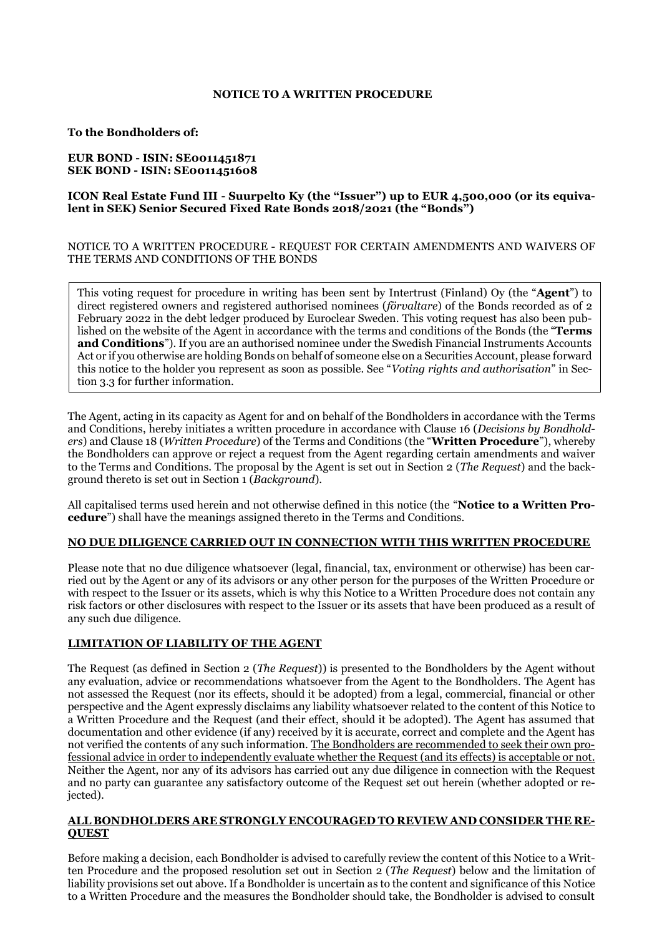# **NOTICE TO A WRITTEN PROCEDURE**

# **To the Bondholders of:**

# **EUR BOND - ISIN: SE0011451871 SEK BOND - ISIN: SE0011451608**

# **ICON Real Estate Fund III - Suurpelto Ky (the "Issuer") up to EUR 4,500,000 (or its equivalent in SEK) Senior Secured Fixed Rate Bonds 2018/2021 (the "Bonds")**

# NOTICE TO A WRITTEN PROCEDURE - REQUEST FOR CERTAIN AMENDMENTS AND WAIVERS OF THE TERMS AND CONDITIONS OF THE BONDS

This voting request for procedure in writing has been sent by Intertrust (Finland) Oy (the "**Agent**") to direct registered owners and registered authorised nominees (*förvaltare*) of the Bonds recorded as of 2 February 2022 in the debt ledger produced by Euroclear Sweden. This voting request has also been published on the website of the Agent in accordance with the terms and conditions of the Bonds (the "**Terms and Conditions**"). If you are an authorised nominee under the Swedish Financial Instruments Accounts Act or if you otherwise are holding Bonds on behalf of someone else on a Securities Account, please forward this notice to the holder you represent as soon as possible. See "*Voting rights and authorisation*" in Section 3.3 for further information.

The Agent, acting in its capacity as Agent for and on behalf of the Bondholders in accordance with the Terms and Conditions, hereby initiates a written procedure in accordance with Clause 16 (*Decisions by Bondholders*) and Clause 18 (*Written Procedure*) of the Terms and Conditions (the "**Written Procedure**"), whereby the Bondholders can approve or reject a request from the Agent regarding certain amendments and waiver to the Terms and Conditions. The proposal by the Agent is set out in Section 2 (*The Request*) and the background thereto is set out in Section 1 (*Background*).

All capitalised terms used herein and not otherwise defined in this notice (the "**Notice to a Written Procedure**") shall have the meanings assigned thereto in the Terms and Conditions.

# **NO DUE DILIGENCE CARRIED OUT IN CONNECTION WITH THIS WRITTEN PROCEDURE**

Please note that no due diligence whatsoever (legal, financial, tax, environment or otherwise) has been carried out by the Agent or any of its advisors or any other person for the purposes of the Written Procedure or with respect to the Issuer or its assets, which is why this Notice to a Written Procedure does not contain any risk factors or other disclosures with respect to the Issuer or its assets that have been produced as a result of any such due diligence.

# **LIMITATION OF LIABILITY OF THE AGENT**

The Request (as defined in Section 2 (*The Request*)) is presented to the Bondholders by the Agent without any evaluation, advice or recommendations whatsoever from the Agent to the Bondholders. The Agent has not assessed the Request (nor its effects, should it be adopted) from a legal, commercial, financial or other perspective and the Agent expressly disclaims any liability whatsoever related to the content of this Notice to a Written Procedure and the Request (and their effect, should it be adopted). The Agent has assumed that documentation and other evidence (if any) received by it is accurate, correct and complete and the Agent has not verified the contents of any such information. The Bondholders are recommended to seek their own professional advice in order to independently evaluate whether the Request (and its effects) is acceptable or not. Neither the Agent, nor any of its advisors has carried out any due diligence in connection with the Request and no party can guarantee any satisfactory outcome of the Request set out herein (whether adopted or rejected).

# **ALL BONDHOLDERS ARE STRONGLY ENCOURAGED TO REVIEW AND CONSIDER THE RE-QUEST**

Before making a decision, each Bondholder is advised to carefully review the content of this Notice to a Written Procedure and the proposed resolution set out in Section 2 (*The Request*) below and the limitation of liability provisions set out above. If a Bondholder is uncertain as to the content and significance of this Notice to a Written Procedure and the measures the Bondholder should take, the Bondholder is advised to consult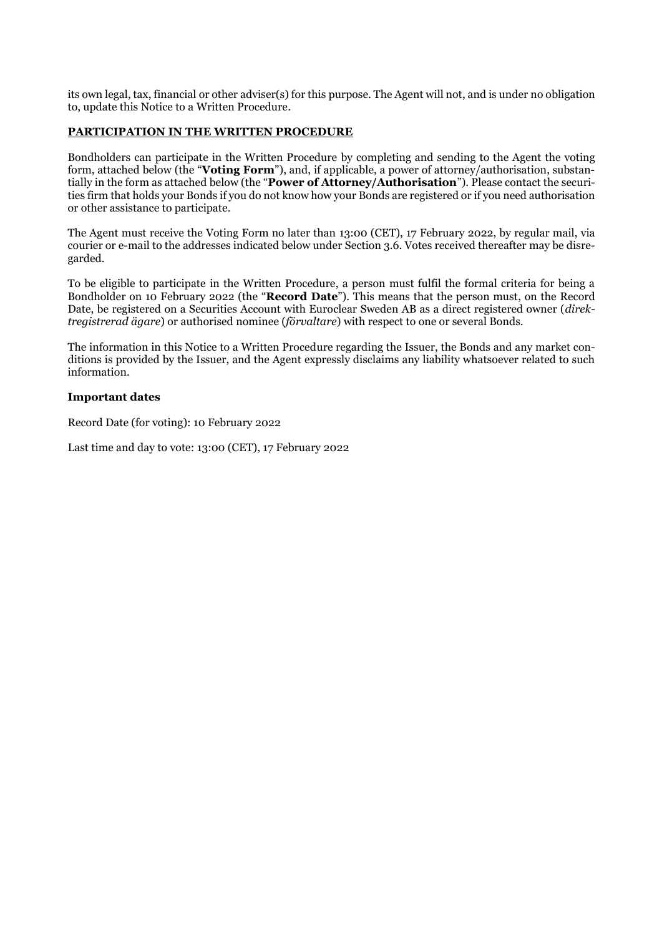its own legal, tax, financial or other adviser(s) for this purpose. The Agent will not, and is under no obligation to, update this Notice to a Written Procedure.

# **PARTICIPATION IN THE WRITTEN PROCEDURE**

Bondholders can participate in the Written Procedure by completing and sending to the Agent the voting form, attached below (the "**Voting Form**"), and, if applicable, a power of attorney/authorisation, substantially in the form as attached below (the "**Power of Attorney/Authorisation**"). Please contact the securities firm that holds your Bonds if you do not know how your Bonds are registered or if you need authorisation or other assistance to participate.

The Agent must receive the Voting Form no later than 13:00 (CET), 17 February 2022, by regular mail, via courier or e-mail to the addresses indicated below under Section 3.6. Votes received thereafter may be disregarded.

To be eligible to participate in the Written Procedure, a person must fulfil the formal criteria for being a Bondholder on 10 February 2022 (the "**Record Date**"). This means that the person must, on the Record Date, be registered on a Securities Account with Euroclear Sweden AB as a direct registered owner (*direktregistrerad ägare*) or authorised nominee (*förvaltare*) with respect to one or several Bonds.

The information in this Notice to a Written Procedure regarding the Issuer, the Bonds and any market conditions is provided by the Issuer, and the Agent expressly disclaims any liability whatsoever related to such information.

# **Important dates**

Record Date (for voting): 10 February 2022

Last time and day to vote: 13:00 (CET), 17 February 2022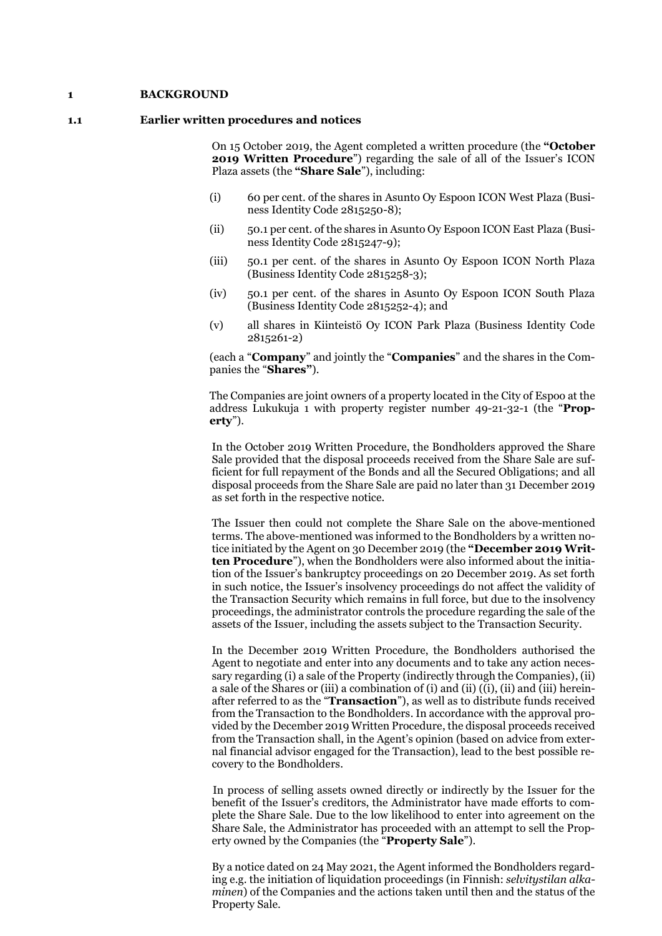#### **1 BACKGROUND**

#### **1.1 Earlier written procedures and notices**

On 15 October 2019, the Agent completed a written procedure (the **"October 2019 Written Procedure**") regarding the sale of all of the Issuer's ICON Plaza assets (the **"Share Sale**"), including:

- (i) 60 per cent. of the shares in Asunto Oy Espoon ICON West Plaza (Business Identity Code 2815250-8);
- (ii) 50.1 per cent. of the shares in Asunto Oy Espoon ICON East Plaza (Business Identity Code 2815247-9);
- (iii) 50.1 per cent. of the shares in Asunto Oy Espoon ICON North Plaza (Business Identity Code 2815258-3);
- (iv) 50.1 per cent. of the shares in Asunto Oy Espoon ICON South Plaza (Business Identity Code 2815252-4); and
- (v) all shares in Kiinteistö Oy ICON Park Plaza (Business Identity Code 2815261-2)

(each a "**Company**" and jointly the "**Companies**" and the shares in the Companies the "**Shares"**).

The Companies are joint owners of a property located in the City of Espoo at the address Lukukuja 1 with property register number 49-21-32-1 (the "**Property**").

In the October 2019 Written Procedure, the Bondholders approved the Share Sale provided that the disposal proceeds received from the Share Sale are sufficient for full repayment of the Bonds and all the Secured Obligations; and all disposal proceeds from the Share Sale are paid no later than 31 December 2019 as set forth in the respective notice.

The Issuer then could not complete the Share Sale on the above-mentioned terms. The above-mentioned was informed to the Bondholders by a written notice initiated by the Agent on 30 December 2019 (the **"December 2019 Written Procedure**"), when the Bondholders were also informed about the initiation of the Issuer's bankruptcy proceedings on 20 December 2019. As set forth in such notice, the Issuer's insolvency proceedings do not affect the validity of the Transaction Security which remains in full force, but due to the insolvency proceedings, the administrator controls the procedure regarding the sale of the assets of the Issuer, including the assets subject to the Transaction Security.

In the December 2019 Written Procedure, the Bondholders authorised the Agent to negotiate and enter into any documents and to take any action necessary regarding (i) a sale of the Property (indirectly through the Companies), (ii) a sale of the Shares or (iii) a combination of (i) and (ii) ((i), (ii) and (iii) hereinafter referred to as the "**Transaction**"), as well as to distribute funds received from the Transaction to the Bondholders. In accordance with the approval provided by the December 2019 Written Procedure, the disposal proceeds received from the Transaction shall, in the Agent's opinion (based on advice from external financial advisor engaged for the Transaction), lead to the best possible recovery to the Bondholders.

In process of selling assets owned directly or indirectly by the Issuer for the benefit of the Issuer's creditors, the Administrator have made efforts to complete the Share Sale. Due to the low likelihood to enter into agreement on the Share Sale, the Administrator has proceeded with an attempt to sell the Property owned by the Companies (the "**Property Sale**").

By a notice dated on 24 May 2021, the Agent informed the Bondholders regarding e.g. the initiation of liquidation proceedings (in Finnish: *selvitystilan alkaminen*) of the Companies and the actions taken until then and the status of the Property Sale.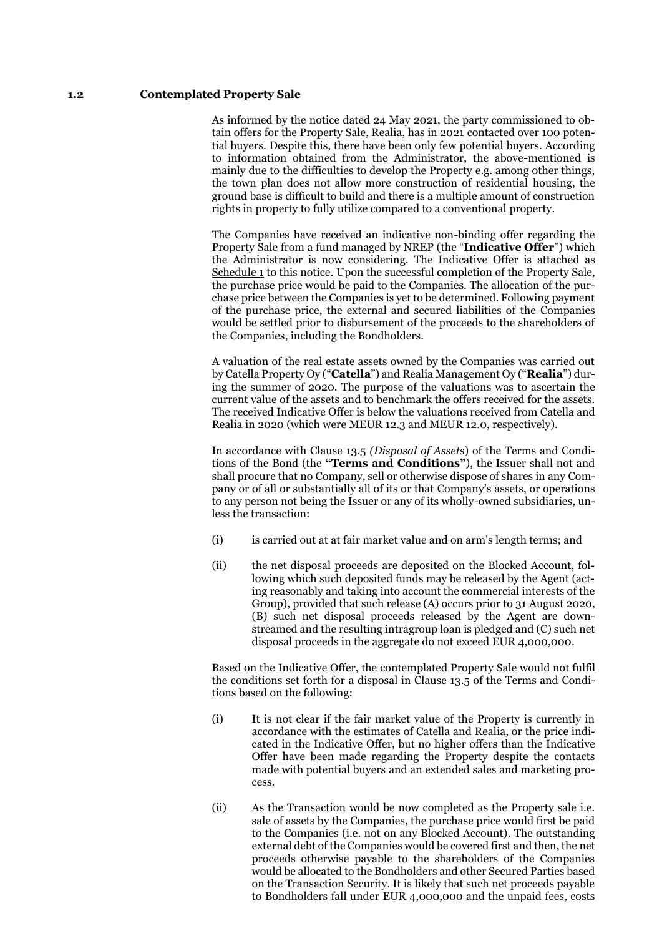# **1.2 Contemplated Property Sale**

As informed by the notice dated 24 May 2021, the party commissioned to obtain offers for the Property Sale, Realia, has in 2021 contacted over 100 potential buyers. Despite this, there have been only few potential buyers. According to information obtained from the Administrator, the above-mentioned is mainly due to the difficulties to develop the Property e.g. among other things, the town plan does not allow more construction of residential housing, the ground base is difficult to build and there is a multiple amount of construction rights in property to fully utilize compared to a conventional property.

The Companies have received an indicative non-binding offer regarding the Property Sale from a fund managed by NREP (the "**Indicative Offer**") which the Administrator is now considering. The Indicative Offer is attached as Schedule 1 to this notice. Upon the successful completion of the Property Sale, the purchase price would be paid to the Companies. The allocation of the purchase price between the Companies is yet to be determined. Following payment of the purchase price, the external and secured liabilities of the Companies would be settled prior to disbursement of the proceeds to the shareholders of the Companies, including the Bondholders.

A valuation of the real estate assets owned by the Companies was carried out by Catella Property Oy ("**Catella**") and Realia Management Oy ("**Realia**") during the summer of 2020. The purpose of the valuations was to ascertain the current value of the assets and to benchmark the offers received for the assets. The received Indicative Offer is below the valuations received from Catella and Realia in 2020 (which were MEUR 12.3 and MEUR 12.0, respectively).

In accordance with Clause 13.5 *(Disposal of Assets*) of the Terms and Conditions of the Bond (the **"Terms and Conditions"**), the Issuer shall not and shall procure that no Company, sell or otherwise dispose of shares in any Company or of all or substantially all of its or that Company's assets, or operations to any person not being the Issuer or any of its wholly-owned subsidiaries, unless the transaction:

- (i) is carried out at at fair market value and on arm's length terms; and
- (ii) the net disposal proceeds are deposited on the Blocked Account, following which such deposited funds may be released by the Agent (acting reasonably and taking into account the commercial interests of the Group), provided that such release (A) occurs prior to 31 August 2020, (B) such net disposal proceeds released by the Agent are downstreamed and the resulting intragroup loan is pledged and (C) such net disposal proceeds in the aggregate do not exceed EUR 4,000,000.

Based on the Indicative Offer, the contemplated Property Sale would not fulfil the conditions set forth for a disposal in Clause 13.5 of the Terms and Conditions based on the following:

- (i) It is not clear if the fair market value of the Property is currently in accordance with the estimates of Catella and Realia, or the price indicated in the Indicative Offer, but no higher offers than the Indicative Offer have been made regarding the Property despite the contacts made with potential buyers and an extended sales and marketing process.
- (ii) As the Transaction would be now completed as the Property sale i.e. sale of assets by the Companies, the purchase price would first be paid to the Companies (i.e. not on any Blocked Account). The outstanding external debt of the Companies would be covered first and then, the net proceeds otherwise payable to the shareholders of the Companies would be allocated to the Bondholders and other Secured Parties based on the Transaction Security. It is likely that such net proceeds payable to Bondholders fall under EUR 4,000,000 and the unpaid fees, costs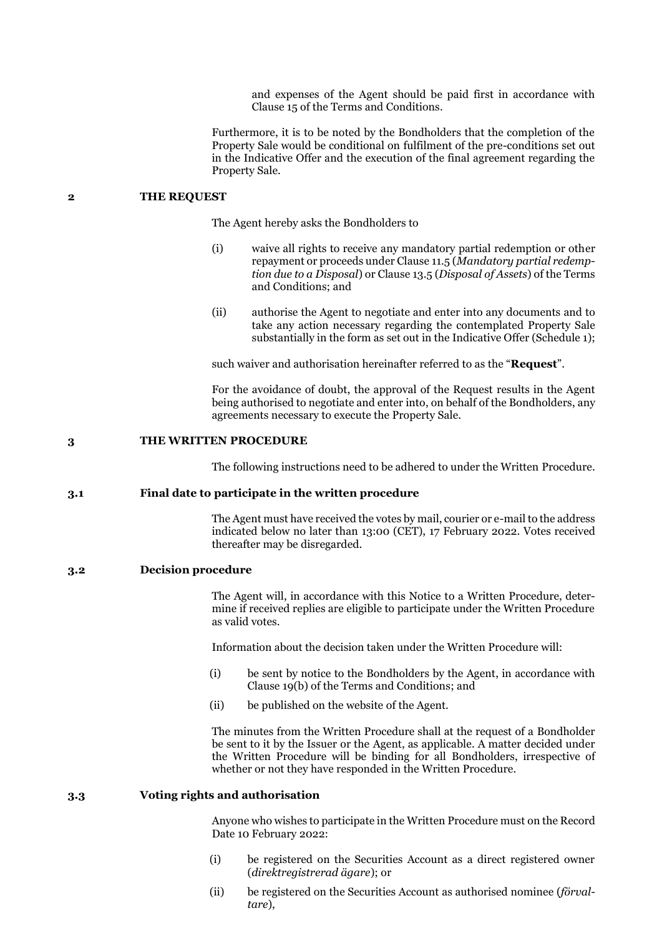and expenses of the Agent should be paid first in accordance with Clause 15 of the Terms and Conditions.

Furthermore, it is to be noted by the Bondholders that the completion of the Property Sale would be conditional on fulfilment of the pre-conditions set out in the Indicative Offer and the execution of the final agreement regarding the Property Sale.

### **2 THE REQUEST**

The Agent hereby asks the Bondholders to

- (i) waive all rights to receive any mandatory partial redemption or other repayment or proceeds under Clause 11.5 (*Mandatory partial redemption due to a Disposal*) or Clause 13.5 (*Disposal of Assets*) of the Terms and Conditions; and
- (ii) authorise the Agent to negotiate and enter into any documents and to take any action necessary regarding the contemplated Property Sale substantially in the form as set out in the Indicative Offer (Schedule 1);

such waiver and authorisation hereinafter referred to as the "**Request**".

For the avoidance of doubt, the approval of the Request results in the Agent being authorised to negotiate and enter into, on behalf of the Bondholders, any agreements necessary to execute the Property Sale.

#### **3 THE WRITTEN PROCEDURE**

The following instructions need to be adhered to under the Written Procedure.

# **3.1 Final date to participate in the written procedure**

The Agent must have received the votes by mail, courier or e-mail to the address indicated below no later than 13:00 (CET), 17 February 2022. Votes received thereafter may be disregarded.

### **3.2 Decision procedure**

The Agent will, in accordance with this Notice to a Written Procedure, determine if received replies are eligible to participate under the Written Procedure as valid votes.

Information about the decision taken under the Written Procedure will:

- (i) be sent by notice to the Bondholders by the Agent, in accordance with Clause 19(b) of the Terms and Conditions; and
- (ii) be published on the website of the Agent.

The minutes from the Written Procedure shall at the request of a Bondholder be sent to it by the Issuer or the Agent, as applicable. A matter decided under the Written Procedure will be binding for all Bondholders, irrespective of whether or not they have responded in the Written Procedure.

# **3.3 Voting rights and authorisation**

Anyone who wishes to participate in the Written Procedure must on the Record Date 10 February 2022:

- (i) be registered on the Securities Account as a direct registered owner (*direktregistrerad ägare*); or
- (ii) be registered on the Securities Account as authorised nominee (*förvaltare*),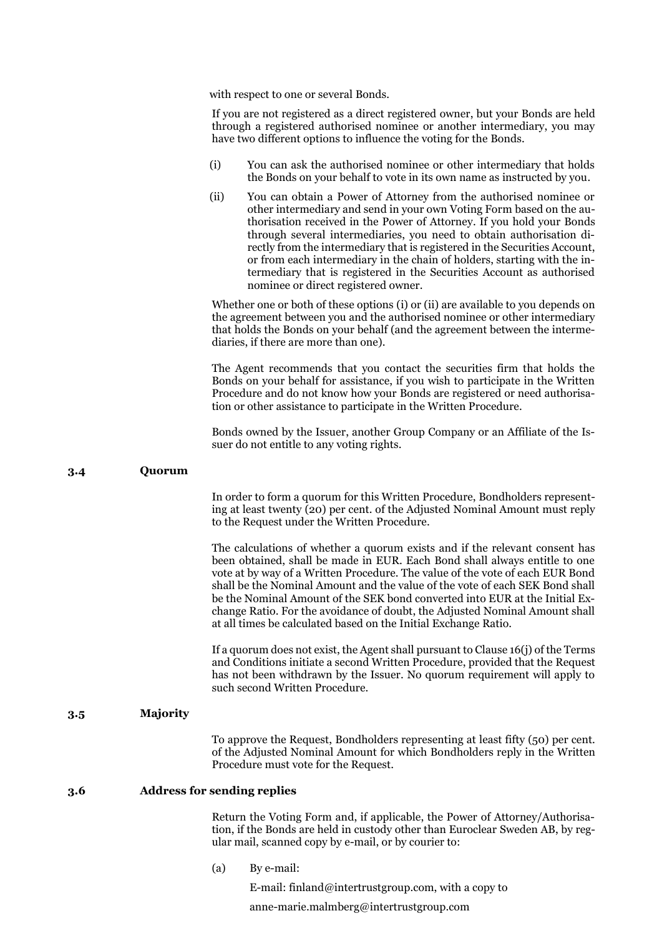with respect to one or several Bonds.

If you are not registered as a direct registered owner, but your Bonds are held through a registered authorised nominee or another intermediary, you may have two different options to influence the voting for the Bonds.

- (i) You can ask the authorised nominee or other intermediary that holds the Bonds on your behalf to vote in its own name as instructed by you.
- (ii) You can obtain a Power of Attorney from the authorised nominee or other intermediary and send in your own Voting Form based on the authorisation received in the Power of Attorney. If you hold your Bonds through several intermediaries, you need to obtain authorisation directly from the intermediary that is registered in the Securities Account, or from each intermediary in the chain of holders, starting with the intermediary that is registered in the Securities Account as authorised nominee or direct registered owner.

Whether one or both of these options (i) or (ii) are available to you depends on the agreement between you and the authorised nominee or other intermediary that holds the Bonds on your behalf (and the agreement between the intermediaries, if there are more than one).

The Agent recommends that you contact the securities firm that holds the Bonds on your behalf for assistance, if you wish to participate in the Written Procedure and do not know how your Bonds are registered or need authorisation or other assistance to participate in the Written Procedure.

Bonds owned by the Issuer, another Group Company or an Affiliate of the Issuer do not entitle to any voting rights.

### **3.4 Quorum**

In order to form a quorum for this Written Procedure, Bondholders representing at least twenty (20) per cent. of the Adjusted Nominal Amount must reply to the Request under the Written Procedure.

The calculations of whether a quorum exists and if the relevant consent has been obtained, shall be made in EUR. Each Bond shall always entitle to one vote at by way of a Written Procedure. The value of the vote of each EUR Bond shall be the Nominal Amount and the value of the vote of each SEK Bond shall be the Nominal Amount of the SEK bond converted into EUR at the Initial Exchange Ratio. For the avoidance of doubt, the Adjusted Nominal Amount shall at all times be calculated based on the Initial Exchange Ratio.

If a quorum does not exist, the Agent shall pursuant to Clause 16(j) of the Terms and Conditions initiate a second Written Procedure, provided that the Request has not been withdrawn by the Issuer. No quorum requirement will apply to such second Written Procedure.

# **3.5 Majority**

To approve the Request, Bondholders representing at least fifty (50) per cent. of the Adjusted Nominal Amount for which Bondholders reply in the Written Procedure must vote for the Request.

#### **3.6 Address for sending replies**

Return the Voting Form and, if applicable, the Power of Attorney/Authorisation, if the Bonds are held in custody other than Euroclear Sweden AB, by regular mail, scanned copy by e-mail, or by courier to:

(a) By e-mail:

E-mail: finland@intertrustgroup.com, with a copy to

anne-marie.malmberg@intertrustgroup.com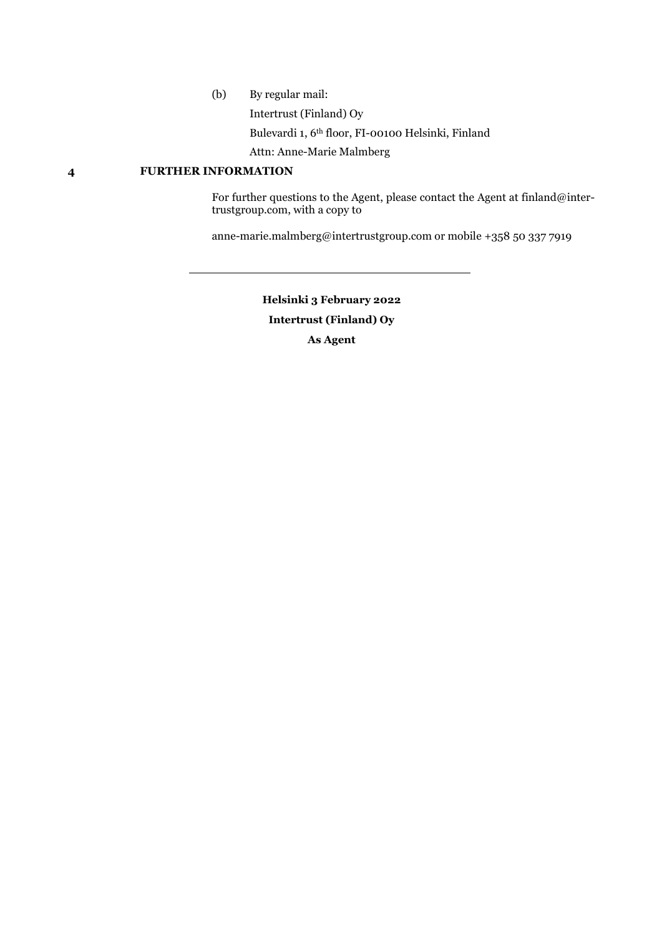(b) By regular mail:

Intertrust (Finland) Oy

Bulevardi 1, 6th floor, FI-00100 Helsinki, Finland

Attn: Anne-Marie Malmberg

# **4 FURTHER INFORMATION**

For further questions to the Agent, please contact the Agent at finland@intertrustgroup.com, with a copy to

anne-marie.malmberg@intertrustgroup.com or mobile +358 50 337 7919

**Helsinki 3 February 2022 Intertrust (Finland) Oy As Agent**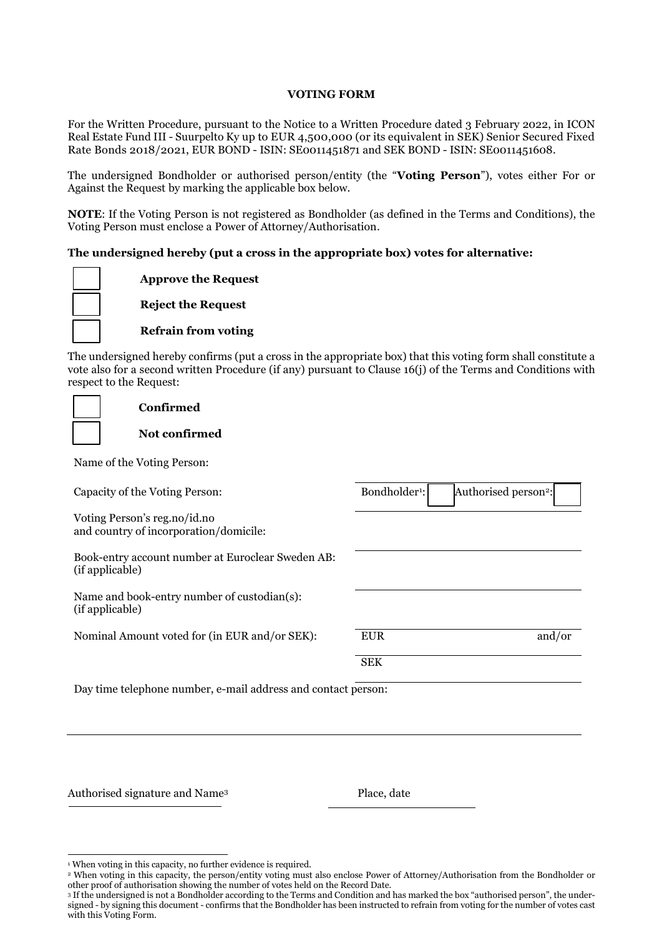# **VOTING FORM**

For the Written Procedure, pursuant to the Notice to a Written Procedure dated 3 February 2022, in ICON Real Estate Fund III - Suurpelto Ky up to EUR 4,500,000 (or its equivalent in SEK) Senior Secured Fixed Rate Bonds 2018/2021, EUR BOND - ISIN: SE0011451871 and SEK BOND - ISIN: SE0011451608.

The undersigned Bondholder or authorised person/entity (the "**Voting Person**"), votes either For or Against the Request by marking the applicable box below.

**NOTE**: If the Voting Person is not registered as Bondholder (as defined in the Terms and Conditions), the Voting Person must enclose a Power of Attorney/Authorisation.

# **The undersigned hereby (put a cross in the appropriate box) votes for alternative:**

**Approve the Request Reject the Request**

**Refrain from voting**

The undersigned hereby confirms (put a cross in the appropriate box) that this voting form shall constitute a vote also for a second written Procedure (if any) pursuant to Clause 16(j) of the Terms and Conditions with respect to the Request:

| Confirmed                                                              |                           |                                  |
|------------------------------------------------------------------------|---------------------------|----------------------------------|
| Not confirmed                                                          |                           |                                  |
| Name of the Voting Person:                                             |                           |                                  |
| Capacity of the Voting Person:                                         | Bondholder <sup>1</sup> : | Authorised person <sup>2</sup> : |
| Voting Person's reg.no/id.no<br>and country of incorporation/domicile: |                           |                                  |
| Book-entry account number at Euroclear Sweden AB:<br>(if applicable)   |                           |                                  |
| Name and book-entry number of custodian(s):<br>(if applicable)         |                           |                                  |
| Nominal Amount voted for (in EUR and/or SEK):                          | <b>EUR</b>                | and/or                           |
|                                                                        | <b>SEK</b>                |                                  |
| Day time telephone number, e-mail address and contact person:          |                           |                                  |

Authorised signature and Name<sup>3</sup> Place, date

 $\overline{a}$ <sup>1</sup> When voting in this capacity, no further evidence is required.

<sup>2</sup> When voting in this capacity, the person/entity voting must also enclose Power of Attorney/Authorisation from the Bondholder or other proof of authorisation showing the number of votes held on the Record Date.

<sup>3</sup> If the undersigned is not a Bondholder according to the Terms and Condition and has marked the box "authorised person", the undersigned - by signing this document - confirms that the Bondholder has been instructed to refrain from voting for the number of votes cast with this Voting Form.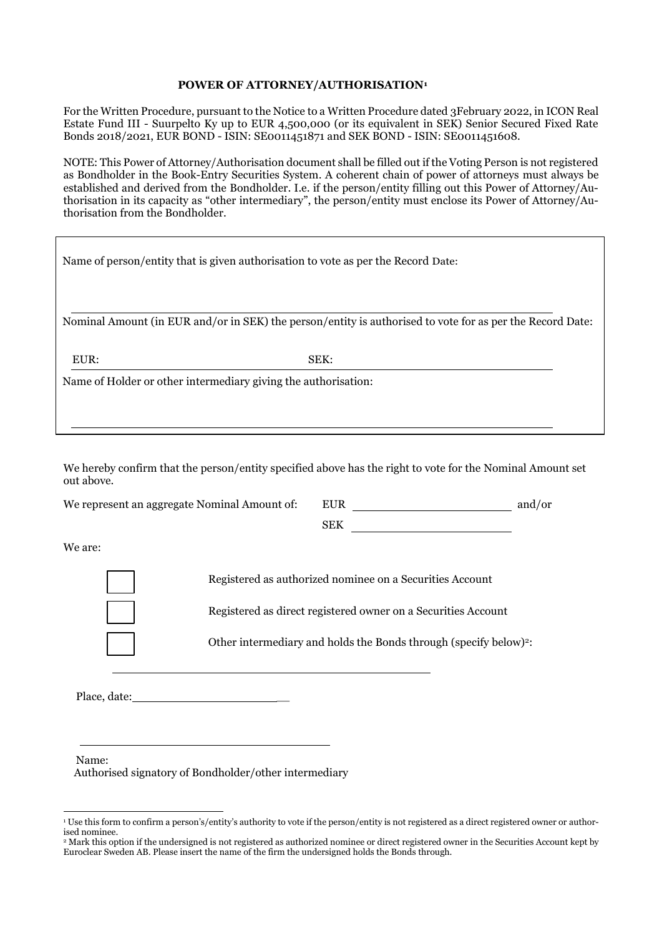# **POWER OF ATTORNEY/AUTHORISATION<sup>1</sup>**

For the Written Procedure, pursuant to the Notice to a Written Procedure dated 3February 2022, in ICON Real Estate Fund III - Suurpelto Ky up to EUR 4,500,000 (or its equivalent in SEK) Senior Secured Fixed Rate Bonds 2018/2021, EUR BOND - ISIN: SE0011451871 and SEK BOND - ISIN: SE0011451608.

NOTE: This Power of Attorney/Authorisation document shall be filled out if the Voting Person is not registered as Bondholder in the Book-Entry Securities System. A coherent chain of power of attorneys must always be established and derived from the Bondholder. I.e. if the person/entity filling out this Power of Attorney/Authorisation in its capacity as "other intermediary", the person/entity must enclose its Power of Attorney/Authorisation from the Bondholder.

| Name of person/entity that is given authorisation to vote as per the Record Date: |                                                                                                           |  |  |  |
|-----------------------------------------------------------------------------------|-----------------------------------------------------------------------------------------------------------|--|--|--|
|                                                                                   |                                                                                                           |  |  |  |
|                                                                                   | Nominal Amount (in EUR and/or in SEK) the person/entity is authorised to vote for as per the Record Date: |  |  |  |
| EUR:                                                                              | SEK:                                                                                                      |  |  |  |
|                                                                                   | Name of Holder or other intermediary giving the authorisation:                                            |  |  |  |
|                                                                                   |                                                                                                           |  |  |  |

We hereby confirm that the person/entity specified above has the right to vote for the Nominal Amount set out above.

We represent an aggregate Nominal Amount of: EUR and/or

SEK **SEK** 

We are:

Registered as authorized nominee on a Securities Account

Registered as direct registered owner on a Securities Account

Other intermediary and holds the Bonds through (specify below)2:

Place, date:

Name:

Authorised signatory of Bondholder/other intermediary

<sup>-</sup><sup>1</sup> Use this form to confirm a person's/entity's authority to vote if the person/entity is not registered as a direct registered owner or authorised nominee.

<sup>&</sup>lt;sup>2</sup> Mark this option if the undersigned is not registered as authorized nominee or direct registered owner in the Securities Account kept by Euroclear Sweden AB. Please insert the name of the firm the undersigned holds the Bonds through.